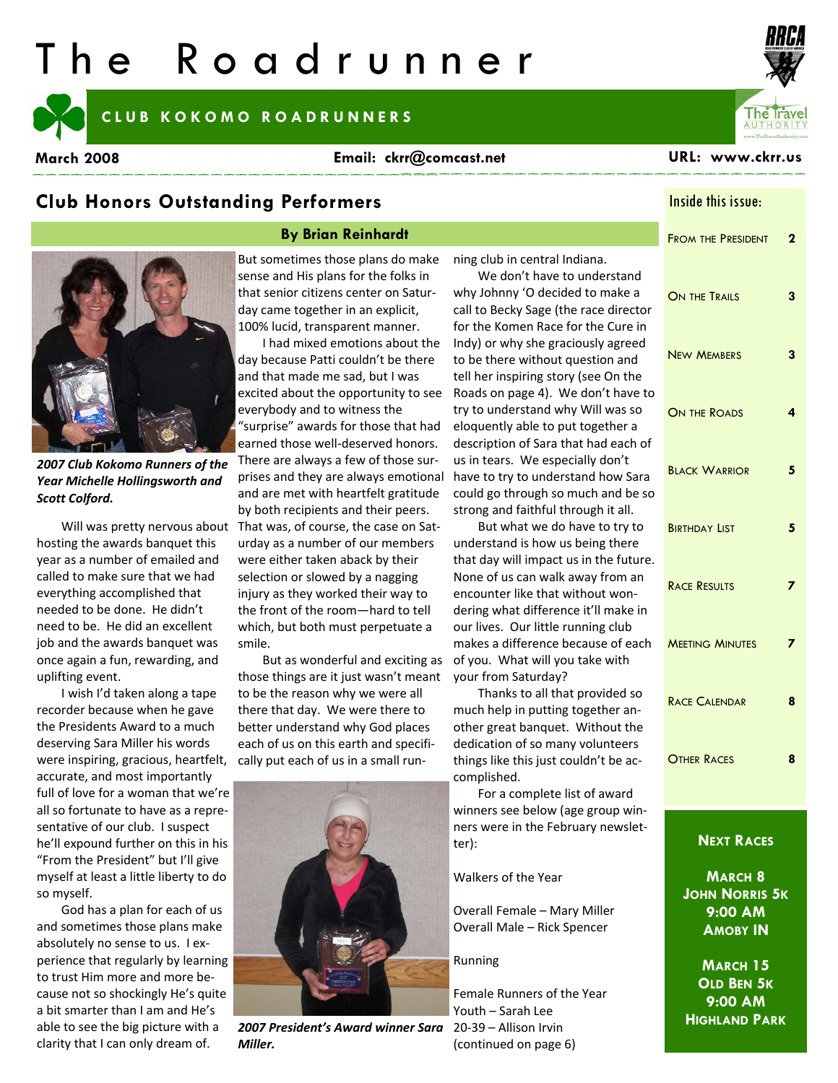# The Roadrunner

#### **CLUB KOKOMO ROADRUNNERS**

**March 2008 URL: www.ckrr.us Email: ckrr@comcast.net** 



#### **By Brian Reinhardt**

*2007 Club Kokomo Runners of the Year Michelle Hollingsworth and Scott Colford.*

hosting the awards banquet this year as a number of emailed and called to make sure that we had everything accomplished that needed to be done. He didn't need to be. He did an excellent job and the awards banquet was once again a fun, rewarding, and uplifting event.

I wish I'd taken along a tape recorder because when he gave the Presidents Award to a much deserving Sara Miller his words were inspiring, gracious, heartfelt, accurate, and most importantly full of love for a woman that we're all so fortunate to have as a repre‐ sentative of our club. I suspect he'll expound further on this in his "From the President" but I'll give myself at least a little liberty to do so myself.

God has a plan for each of us and sometimes those plans make absolutely no sense to us. I ex‐ perience that regularly by learning to trust Him more and more be‐ cause not so shockingly He's quite a bit smarter than I am and He's able to see the big picture with a clarity that I can only dream of.

But sometimes those plans do make sense and His plans for the folks in that senior citizens center on Satur‐ day came together in an explicit, 100% lucid, transparent manner.

Will was pretty nervous about That was, of course, the case on Sat‐ I had mixed emotions about the day because Patti couldn't be there and that made me sad, but I was excited about the opportunity to see everybody and to witness the "surprise" awards for those that had earned those well‐deserved honors. There are always a few of those sur‐ prises and they are always emotional and are met with heartfelt gratitude by both recipients and their peers. urday as a number of our members were either taken aback by their selection or slowed by a nagging injury as they worked their way to the front of the room—hard to tell which, but both must perpetuate a smile.

But as wonderful and exciting as those things are it just wasn't meant to be the reason why we were all there that day. We were there to better understand why God places each of us on this earth and specifi‐ cally put each of us in a small run‐



**2007 President's Award winner Sara** 20-39 – Allison Irvin *Miller.*

ning club in central Indiana.

We don't have to understand why Johnny 'O decided to make a call to Becky Sage (the race director for the Komen Race for the Cure in Indy) or why she graciously agreed to be there without question and tell her inspiring story (see On the Roads on page 4). We don't have to try to understand why Will was so eloquently able to put together a description of Sara that had each of us in tears. We especially don't have to try to understand how Sara could go through so much and be so strong and faithful through it all.

But what we do have to try to understand is how us being there that day will impact us in the future. None of us can walk away from an encounter like that without won‐ dering what difference it'll make in our lives. Our little running club makes a difference because of each of you. What will you take with your from Saturday?

Thanks to all that provided so much help in putting together another great banquet. Without the dedication of so many volunteers things like this just couldn't be ac‐ complished.

For a complete list of award winners see below (age group win‐ ners were in the February newslet‐ ter):

#### Walkers of the Year

Overall Female – Mary Miller Overall Male – Rick Spencer

Running

Female Runners of the Year Youth – Sarah Lee (continued on page 6)

Inside this issue:

# FROM THE PRESIDENT **2**  ON THE TRAILS **3**  NEW MEMBERS **3**  ON THE ROADS **4**  BLACK WARRIOR **5**  BIRTHDAY LIST 5 RACE RESULTS **7**  MEETING MINUTES **7**  RACE CALENDAR **8**  OTHER RACES **8**

#### **NEXT RACES**

**MARCH 8 JOHN NORRIS 5K 9:00 AM AMOBY IN** 

**MARCH 15 OLD BEN 5K 9:00 AM HIGHLAND PARK**

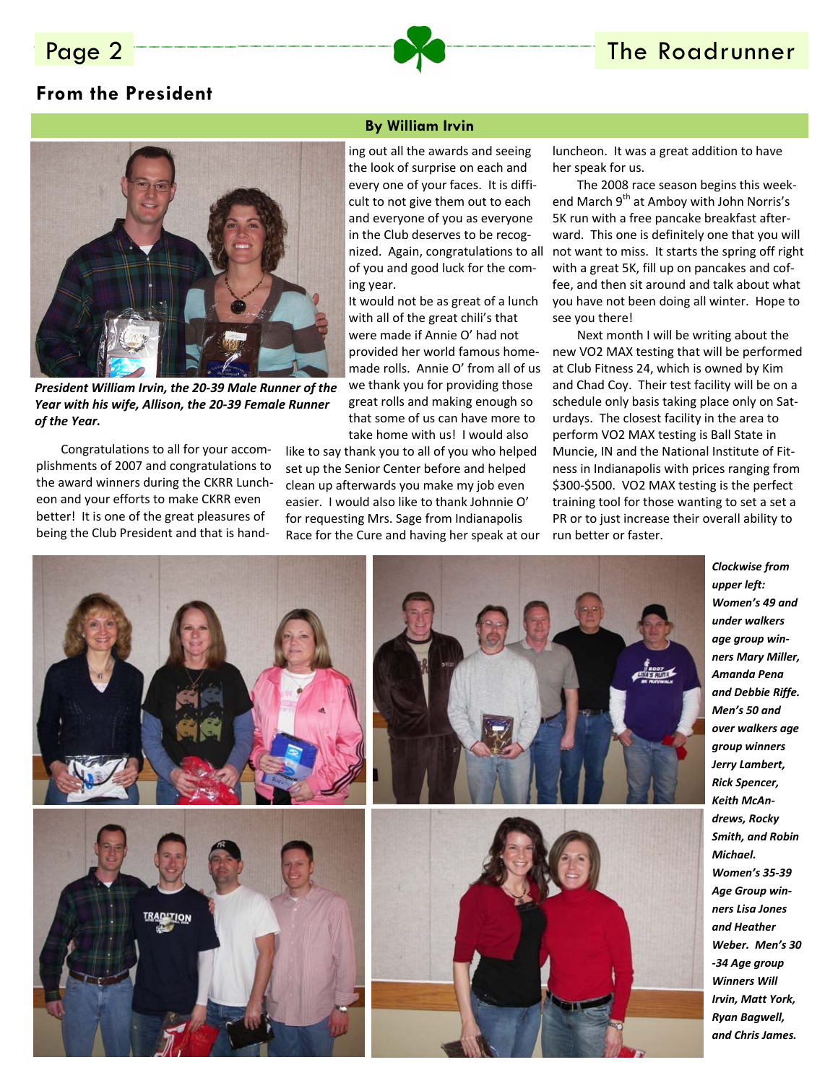### **From the President**



*President William Irvin, the 20‐39 Male Runner of the Year with his wife, Allison, the 20‐39 Female Runner of the Year.*

Congratulations to all for your accom‐ plishments of 2007 and congratulations to the award winners during the CKRR Lunch‐ eon and your efforts to make CKRR even better! It is one of the great pleasures of being the Club President and that is hand‐

#### **By William Irvin**

ing out all the awards and seeing the look of surprise on each and every one of your faces. It is diffi‐ cult to not give them out to each and everyone of you as everyone in the Club deserves to be recog‐ nized. Again, congratulations to all of you and good luck for the com‐ ing year.

It would not be as great of a lunch with all of the great chili's that were made if Annie O' had not provided her world famous home‐ made rolls. Annie O' from all of us we thank you for providing those great rolls and making enough so that some of us can have more to take home with us! I would also

like to say thank you to all of you who helped set up the Senior Center before and helped clean up afterwards you make my job even easier. I would also like to thank Johnnie O' for requesting Mrs. Sage from Indianapolis Race for the Cure and having her speak at our luncheon. It was a great addition to have her speak for us.

The 2008 race season begins this week‐ end March 9<sup>th</sup> at Amboy with John Norris's 5K run with a free pancake breakfast after‐ ward. This one is definitely one that you will not want to miss. It starts the spring off right with a great 5K, fill up on pancakes and cof‐ fee, and then sit around and talk about what you have not been doing all winter. Hope to see you there!

Next month I will be writing about the new VO2 MAX testing that will be performed at Club Fitness 24, which is owned by Kim and Chad Coy. Their test facility will be on a schedule only basis taking place only on Saturdays. The closest facility in the area to perform VO2 MAX testing is Ball State in Muncie, IN and the National Institute of Fit‐ ness in Indianapolis with prices ranging from \$300‐\$500. VO2 MAX testing is the perfect training tool for those wanting to set a set a PR or to just increase their overall ability to run better or faster.



*upper left: Women's 49 and under walkers age group win‐ ners Mary Miller, Amanda Pena and Debbie Riffe. Men's 50 and over walkers age group winners Jerry Lambert, Rick Spencer, Keith McAn‐ drews, Rocky Smith, and Robin*  $Michael.$ *Women's 35‐39 Age Group win‐ ners Lisa Jones and Heather Weber. Men's 30 ‐34 Age group Winners Will Irvin, Matt York, Ryan Bagwell, and Chris James.*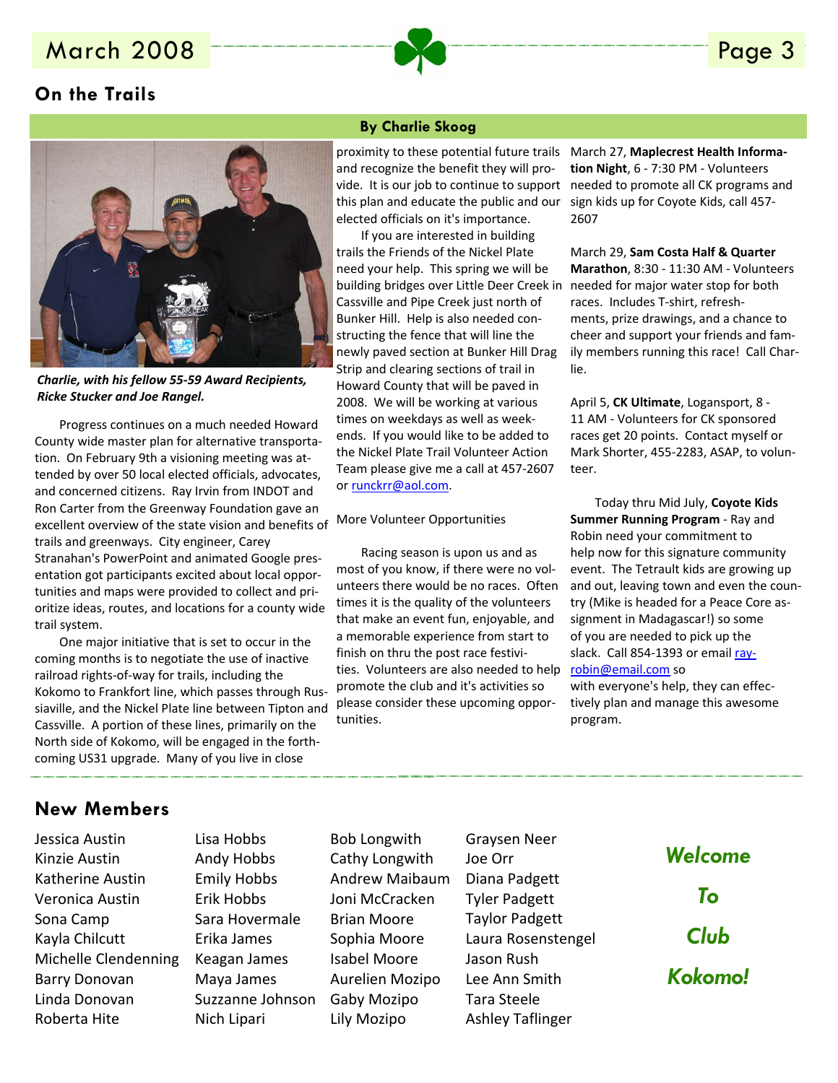## March 2008 **Page 3**

#### **On the Trails**



*Charlie, with his fellow 55‐59 Award Recipients, Ricke Stucker and Joe Rangel.*

Progress continues on a much needed Howard County wide master plan for alternative transporta‐ tion. On February 9th a visioning meeting was at‐ tended by over 50 local elected officials, advocates, and concerned citizens. Ray Irvin from INDOT and Ron Carter from the Greenway Foundation gave an excellent overview of the state vision and benefits of trails and greenways. City engineer, Carey Stranahan's PowerPoint and animated Google pres‐ entation got participants excited about local oppor‐ tunities and maps were provided to collect and pri‐ oritize ideas, routes, and locations for a county wide trail system.

One major initiative that is set to occur in the coming months is to negotiate the use of inactive railroad rights‐of‐way for trails, including the Kokomo to Frankfort line, which passes through Rus‐ siaville, and the Nickel Plate line between Tipton and Cassville. A portion of these lines, primarily on the North side of Kokomo, will be engaged in the forth‐ coming US31 upgrade. Many of you live in close

#### **By Charlie Skoog**

proximity to these potential future trails and recognize the benefit they will pro‐ vide. It is our job to continue to support this plan and educate the public and our elected officials on it's importance.

If you are interested in building trails the Friends of the Nickel Plate need your help. This spring we will be building bridges over Little Deer Creek in Cassville and Pipe Creek just north of Bunker Hill. Help is also needed con‐ structing the fence that will line the newly paved section at Bunker Hill Drag Strip and clearing sections of trail in Howard County that will be paved in 2008. We will be working at various times on weekdays as well as week‐ ends. If you would like to be added to the Nickel Plate Trail Volunteer Action Team please give me a call at 457‐2607 or runckrr@aol.com.

More Volunteer Opportunities

Racing season is upon us and as most of you know, if there were no vol‐ unteers there would be no races. Often times it is the quality of the volunteers that make an event fun, enjoyable, and a memorable experience from start to finish on thru the post race festivi‐ ties. Volunteers are also needed to help promote the club and it's activities so please consider these upcoming oppor‐ tunities.

March 27, **Maplecrest Health Informa‐ tion Night**, 6 ‐ 7:30 PM ‐ Volunteers needed to promote all CK programs and sign kids up for Coyote Kids, call 457‐ 2607

March 29, **Sam Costa Half & Quarter Marathon**, 8:30 ‐ 11:30 AM ‐ Volunteers needed for major water stop for both races. Includes T‐shirt, refresh‐ ments, prize drawings, and a chance to cheer and support your friends and fam‐ ily members running this race! Call Char‐ lie.

April 5, **CK Ultimate**, Logansport, 8 ‐ 11 AM ‐ Volunteers for CK sponsored races get 20 points. Contact myself or Mark Shorter, 455‐2283, ASAP, to volun‐ teer.

Today thru Mid July, **Coyote Kids Summer Running Program** ‐ Ray and Robin need your commitment to help now for this signature community event. The Tetrault kids are growing up and out, leaving town and even the coun‐ try (Mike is headed for a Peace Core as‐ signment in Madagascar!) so some of you are needed to pick up the slack. Call 854-1393 or email rayrobin@email.com so

with everyone's help, they can effec‐ tively plan and manage this awesome program.

#### **New Members**

Jessica Austin Kinzie Austin Katherine Austin Veronica Austin Sona Camp Kayla Chilcutt Michelle Clendenning Barry Donovan Linda Donovan Roberta Hite

Lisa Hobbs Andy Hobbs Emily Hobbs Erik Hobbs Sara Hovermale Erika James Keagan James Maya James Suzzanne Johnson Nich Lipari

Bob Longwith Cathy Longwith Andrew Maibaum Joni McCracken Brian Moore Sophia Moore Isabel Moore Aurelien Mozipo Gaby Mozipo Lily Mozipo

Graysen Neer Joe Orr Diana Padgett Tyler Padgett Taylor Padgett Laura Rosenstengel Jason Rush Lee Ann Smith Tara Steele Ashley Taflinger

*Welcome To Club Kokomo!*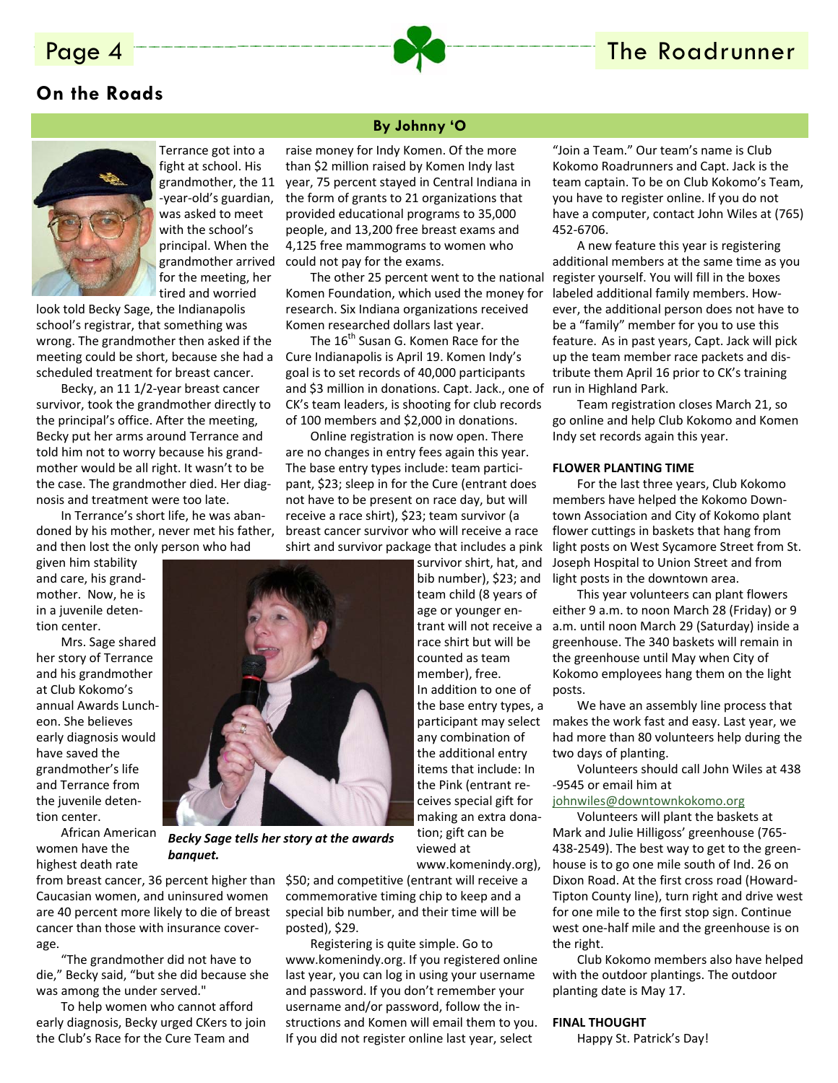### **On the Roads**



Terrance got into a fight at school. His grandmother, the 11 ‐year‐old's guardian, was asked to meet with the school's principal. When the grandmother arrived for the meeting, her tired and worried

look told Becky Sage, the Indianapolis school's registrar, that something was wrong. The grandmother then asked if the meeting could be short, because she had a scheduled treatment for breast cancer.

Becky, an 11 1/2‐year breast cancer survivor, took the grandmother directly to the principal's office. After the meeting, Becky put her arms around Terrance and told him not to worry because his grand‐ mother would be all right. It wasn't to be the case. The grandmother died. Her diag‐ nosis and treatment were too late.

In Terrance's short life, he was aban‐ doned by his mother, never met his father, and then lost the only person who had

given him stability and care, his grand‐ mother. Now, he is in a juvenile deten‐ tion center.

Mrs. Sage shared her story of Terrance and his grandmother at Club Kokomo's annual Awards Lunch‐ eon. She believes early diagnosis would have saved the grandmother's life and Terrance from the juvenile deten‐ tion center.

African American women have the highest death rate

from breast cancer, 36 percent higher than Caucasian women, and uninsured women are 40 percent more likely to die of breast cancer than those with insurance cover‐ age.

*banquet.*

"The grandmother did not have to die," Becky said, "but she did because she was among the under served."

To help women who cannot afford early diagnosis, Becky urged CKers to join the Club's Race for the Cure Team and

#### **By Johnny 'O**

raise money for Indy Komen. Of the more than \$2 million raised by Komen Indy last year, 75 percent stayed in Central Indiana in the form of grants to 21 organizations that provided educational programs to 35,000 people, and 13,200 free breast exams and 4,125 free mammograms to women who could not pay for the exams.

The other 25 percent went to the national Komen Foundation, which used the money for research. Six Indiana organizations received Komen researched dollars last year.

The 16<sup>th</sup> Susan G. Komen Race for the Cure Indianapolis is April 19. Komen Indy's goal is to set records of 40,000 participants and \$3 million in donations. Capt. Jack., one of CK's team leaders, is shooting for club records of 100 members and \$2,000 in donations.

Online registration is now open. There are no changes in entry fees again this year. The base entry types include: team partici‐ pant, \$23; sleep in for the Cure (entrant does not have to be present on race day, but will receive a race shirt), \$23; team survivor (a breast cancer survivor who will receive a race shirt and survivor package that includes a pink

> survivor shirt, hat, and bib number), \$23; and team child (8 years of age or younger enrace shirt but will be counted as team member), free. In addition to one of the base entry types, a participant may select any combination of the additional entry items that include: In the Pink (entrant re‐ ceives special gift for making an extra dona‐ tion; gift can be viewed at www.komenindy.org),

\$50; and competitive (entrant will receive a commemorative timing chip to keep and a special bib number, and their time will be posted), \$29.

Registering is quite simple. Go to www.komenindy.org. If you registered online last year, you can log in using your username and password. If you don't remember your username and/or password, follow the in‐ structions and Komen will email them to you. If you did not register online last year, select

"Join a Team." Our team's name is Club Kokomo Roadrunners and Capt. Jack is the team captain. To be on Club Kokomo's Team, you have to register online. If you do not have a computer, contact John Wiles at (765) 452‐6706.

A new feature this year is registering additional members at the same time as you register yourself. You will fill in the boxes labeled additional family members. How‐ ever, the additional person does not have to be a "family" member for you to use this feature. As in past years, Capt. Jack will pick up the team member race packets and dis‐ tribute them April 16 prior to CK's training run in Highland Park.

Team registration closes March 21, so go online and help Club Kokomo and Komen Indy set records again this year.

#### **FLOWER PLANTING TIME**

For the last three years, Club Kokomo members have helped the Kokomo Down‐ town Association and City of Kokomo plant flower cuttings in baskets that hang from light posts on West Sycamore Street from St. Joseph Hospital to Union Street and from light posts in the downtown area.

This year volunteers can plant flowers either 9 a.m. to noon March 28 (Friday) or 9 trant will not receive a a.m. until noon March 29 (Saturday) inside a greenhouse. The 340 baskets will remain in the greenhouse until May when City of Kokomo employees hang them on the light posts.

> We have an assembly line process that makes the work fast and easy. Last year, we had more than 80 volunteers help during the two days of planting.

> Volunteers should call John Wiles at 438 ‐9545 or email him at

#### johnwiles@downtownkokomo.org

Volunteers will plant the baskets at Mark and Julie Hilligoss' greenhouse (765‐ 438‐2549). The best way to get to the green‐ house is to go one mile south of Ind. 26 on Dixon Road. At the first cross road (Howard‐ Tipton County line), turn right and drive west for one mile to the first stop sign. Continue west one‐half mile and the greenhouse is on the right.

Club Kokomo members also have helped with the outdoor plantings. The outdoor planting date is May 17.

#### **FINAL THOUGHT**

Happy St. Patrick's Day!

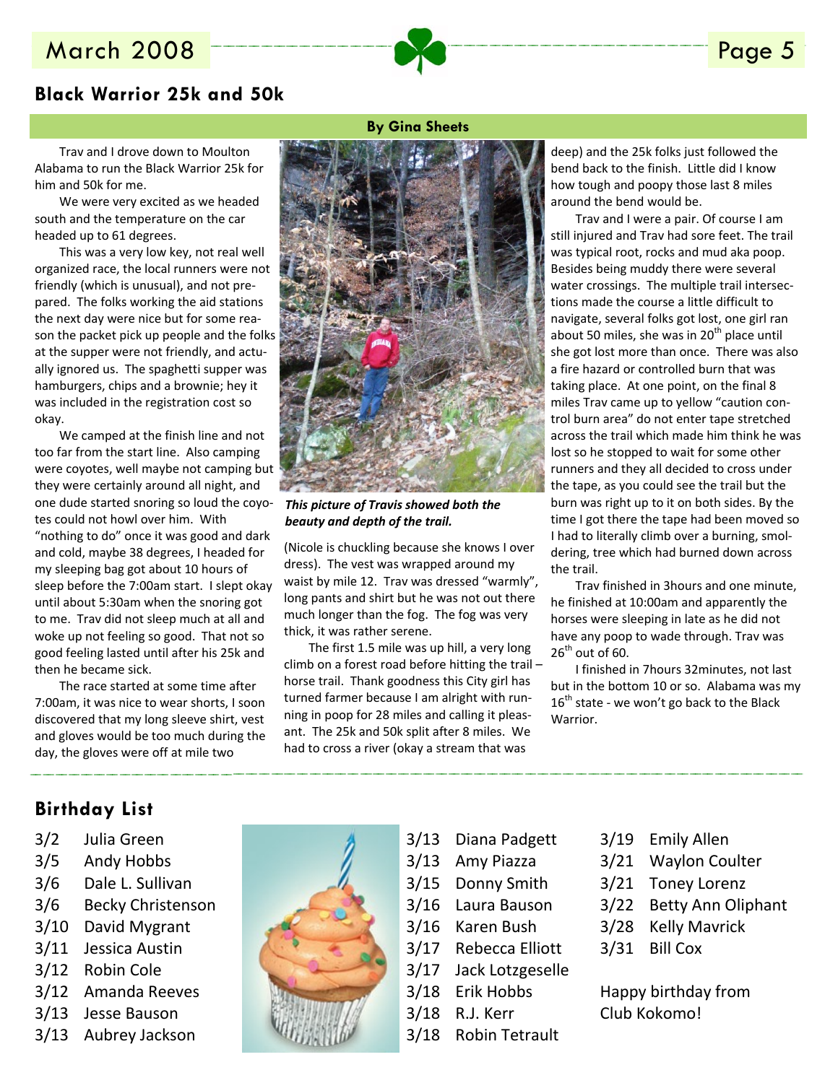### March 2008 **Page 5**

### **Black Warrior 25k and 50k**

Trav and I drove down to Moulton Alabama to run the Black Warrior 25k for him and 50k for me.

We were very excited as we headed south and the temperature on the car headed up to 61 degrees.

This was a very low key, not real well organized race, the local runners were not friendly (which is unusual), and not pre‐ pared. The folks working the aid stations the next day were nice but for some rea‐ son the packet pick up people and the folks at the supper were not friendly, and actu‐ ally ignored us. The spaghetti supper was hamburgers, chips and a brownie; hey it was included in the registration cost so okay.

We camped at the finish line and not too far from the start line. Also camping were coyotes, well maybe not camping but they were certainly around all night, and one dude started snoring so loud the coyo‐ tes could not howl over him. With "nothing to do" once it was good and dark and cold, maybe 38 degrees, I headed for my sleeping bag got about 10 hours of sleep before the 7:00am start. I slept okay until about 5:30am when the snoring got to me. Trav did not sleep much at all and woke up not feeling so good. That not so good feeling lasted until after his 25k and then he became sick.

The race started at some time after 7:00am, it was nice to wear shorts, I soon discovered that my long sleeve shirt, vest and gloves would be too much during the day, the gloves were off at mile two

#### **By Gina Sheets**



*This picture of Travis showed both the beauty and depth of the trail.*

(Nicole is chuckling because she knows I over dress). The vest was wrapped around my waist by mile 12. Trav was dressed "warmly", long pants and shirt but he was not out there much longer than the fog. The fog was very thick, it was rather serene.

The first 1.5 mile was up hill, a very long climb on a forest road before hitting the trail – horse trail. Thank goodness this City girl has turned farmer because I am alright with run‐ ning in poop for 28 miles and calling it pleas‐ ant. The 25k and 50k split after 8 miles. We had to cross a river (okay a stream that was

deep) and the 25k folks just followed the bend back to the finish. Little did I know how tough and poopy those last 8 miles around the bend would be.

Trav and I were a pair. Of course I am still injured and Trav had sore feet. The trail was typical root, rocks and mud aka poop. Besides being muddy there were several water crossings. The multiple trail intersec‐ tions made the course a little difficult to navigate, several folks got lost, one girl ran about 50 miles, she was in  $20<sup>th</sup>$  place until she got lost more than once. There was also a fire hazard or controlled burn that was taking place. At one point, on the final 8 miles Trav came up to yellow "caution con‐ trol burn area" do not enter tape stretched across the trail which made him think he was lost so he stopped to wait for some other runners and they all decided to cross under the tape, as you could see the trail but the burn was right up to it on both sides. By the time I got there the tape had been moved so I had to literally climb over a burning, smol‐ dering, tree which had burned down across the trail.

Trav finished in 3hours and one minute, he finished at 10:00am and apparently the horses were sleeping in late as he did not have any poop to wade through. Trav was  $26<sup>th</sup>$  out of 60.

I finished in 7hours 32minutes, not last but in the bottom 10 or so. Alabama was my  $16^{th}$  state - we won't go back to the Black Warrior.

#### **Birthday List**

- 3/2 Julia Green
- 3/5 Andy Hobbs
- 3/6 Dale L. Sullivan
- 3/6 Becky Christenson
- 3/10 David Mygrant
- 3/11 Jessica Austin
- 3/12 Robin Cole
- 3/12 Amanda Reeves
- 3/13 Jesse Bauson
- 3/13 Aubrey Jackson



- 3/13 Diana Padgett
- 3/13 Amy Piazza
- 3/15 Donny Smith
- 3/16 Laura Bauson
- 3/16 Karen Bush
- 3/17 Rebecca Elliott
- 3/17 Jack Lotzgeselle
- 3/18 Erik Hobbs
- 3/18 R.J. Kerr
- 3/18 Robin Tetrault
- 3/19 Emily Allen
- 3/21 Waylon Coulter
- 3/21 Toney Lorenz
- 3/22 Betty Ann Oliphant
- 3/28 Kelly Mavrick
- 3/31 Bill Cox
- Happy birthday from Club Kokomo!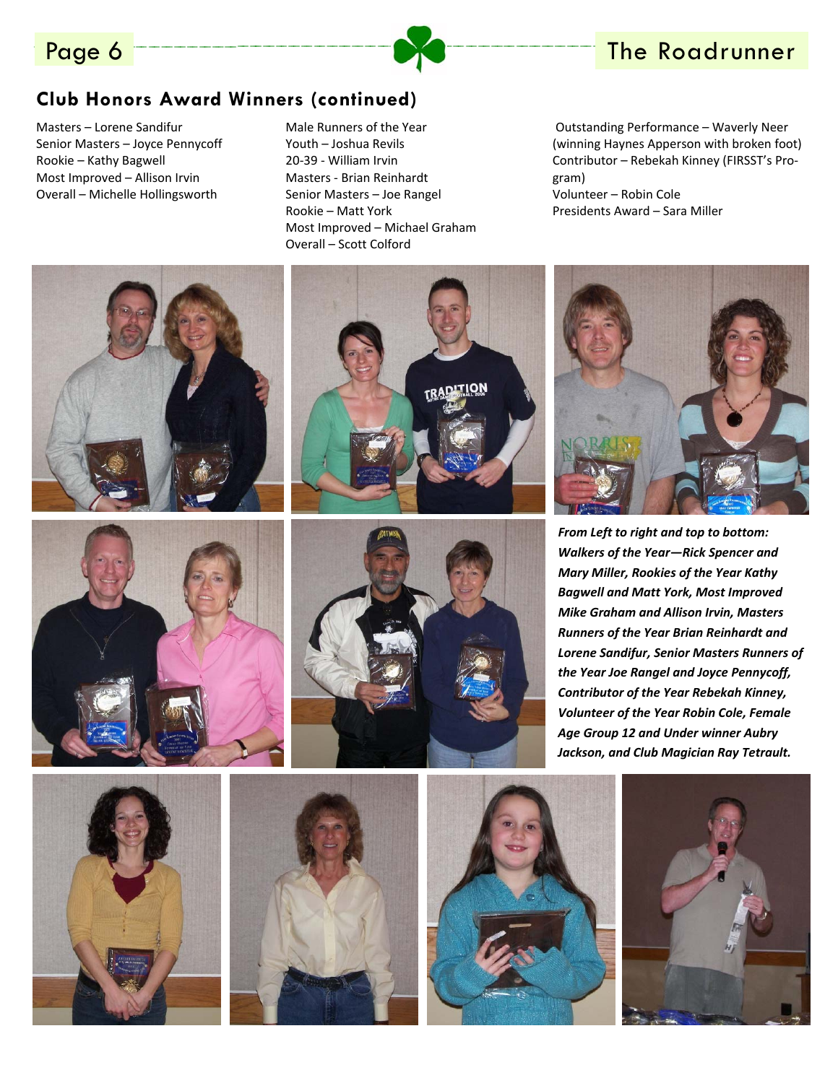

# Page 6 The Roadrunner

### **Club Honors Award Winners (continued)**

Masters – Lorene Sandifur Senior Masters – Joyce Pennycoff Rookie – Kathy Bagwell Most Improved – Allison Irvin Overall – Michelle Hollingsworth





Male Runners of the Year Youth – Joshua Revils 20‐39 ‐ William Irvin Masters ‐ Brian Reinhardt Senior Masters – Joe Rangel Rookie – Matt York Most Improved – Michael Graham Overall – Scott Colford

Outstanding Performance – Waverly Neer (winning Haynes Apperson with broken foot) Contributor – Rebekah Kinney (FIRSST's Pro‐ gram) Volunteer – Robin Cole Presidents Award – Sara Miller

*From Left to right and top to bottom: Walkers of the Year—Rick Spencer and Mary Miller, Rookies of the Year Kathy Bagwell and Matt York, Most Improved Mike Graham and Allison Irvin, Masters Runners of the Year Brian Reinhardt and Lorene Sandifur, Senior Masters Runners of the Year Joe Rangel and Joyce Pennycoff, Contributor of the Year Rebekah Kinney, Volunteer of the Year Robin Cole, Female Age Group 12 and Under winner Aubry Jackson, and Club Magician Ray Tetrault.*











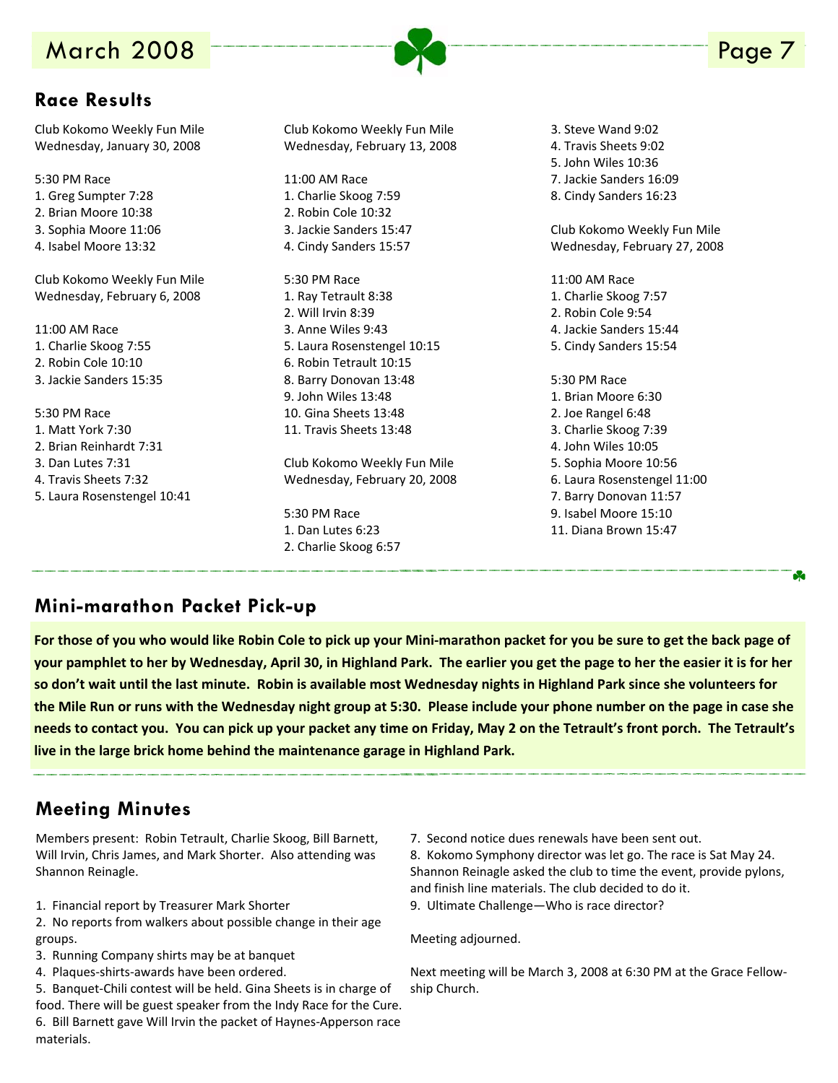# **March 2008**

### **Race Results**

Club Kokomo Weekly Fun Mile Wednesday, January 30, 2008

- 5:30 PM Race 1. Greg Sumpter 7:28 2. Brian Moore 10:38 3. Sophia Moore 11:06 4. Isabel Moore 13:32 Club Kokomo Weekly Fun Mile Wednesday, February 6, 2008 11:00 AM Race 1. Charlie Skoog 7:55 2. Robin Cole 10:10 3. Jackie Sanders 15:35 5:30 PM Race 1. Matt York 7:30 2. Brian Reinhardt 7:31 3. Dan Lutes 7:31
- 4. Travis Sheets 7:32
- 5. Laura Rosenstengel 10:41

Club Kokomo Weekly Fun Mile Wednesday, February 13, 2008

11:00 AM Race 1. Charlie Skoog 7:59 2. Robin Cole 10:32 3. Jackie Sanders 15:47 4. Cindy Sanders 15:57

5:30 PM Race 1. Ray Tetrault 8:38 2. Will Irvin 8:39 3. Anne Wiles 9:43 5. Laura Rosenstengel 10:15 6. Robin Tetrault 10:15 8. Barry Donovan 13:48 9. John Wiles 13:48 10. Gina Sheets 13:48 11. Travis Sheets 13:48

Club Kokomo Weekly Fun Mile Wednesday, February 20, 2008

5:30 PM Race 1. Dan Lutes 6:23 2. Charlie Skoog 6:57 3. Steve Wand 9:02 4. Travis Sheets 9:02 5. John Wiles 10:36 7. Jackie Sanders 16:09 8. Cindy Sanders 16:23

Club Kokomo Weekly Fun Mile Wednesday, February 27, 2008

11:00 AM Race 1. Charlie Skoog 7:57 2. Robin Cole 9:54 4. Jackie Sanders 15:44 5. Cindy Sanders 15:54 5:30 PM Race 1. Brian Moore 6:30 2. Joe Rangel 6:48 3. Charlie Skoog 7:39 4. John Wiles 10:05 5. Sophia Moore 10:56 6. Laura Rosenstengel 11:00

- 7. Barry Donovan 11:57
- 9. Isabel Moore 15:10
- 11. Diana Brown 15:47

### **Mini-marathon Packet Pick-up**

For those of you who would like Robin Cole to pick up your Mini-marathon packet for you be sure to get the back page of your pamphlet to her by Wednesday, April 30, in Highland Park. The earlier you get the page to her the easier it is for her so don't wait until the last minute. Robin is available most Wednesday nights in Highland Park since she volunteers for the Mile Run or runs with the Wednesday night group at 5:30. Please include your phone number on the page in case she needs to contact you. You can pick up your packet any time on Friday, May 2 on the Tetrault's front porch. The Tetrault's **live in the large brick home behind the maintenance garage in Highland Park.**

### **Meeting Minutes**

Members present: Robin Tetrault, Charlie Skoog, Bill Barnett, Will Irvin, Chris James, and Mark Shorter. Also attending was Shannon Reinagle.

1. Financial report by Treasurer Mark Shorter

2. No reports from walkers about possible change in their age groups.

- 3. Running Company shirts may be at banquet
- 4. Plaques‐shirts‐awards have been ordered.

5. Banquet-Chili contest will be held. Gina Sheets is in charge of food. There will be guest speaker from the Indy Race for the Cure. 6. Bill Barnett gave Will Irvin the packet of Haynes‐Apperson race materials.

7. Second notice dues renewals have been sent out.

8. Kokomo Symphony director was let go. The race is Sat May 24. Shannon Reinagle asked the club to time the event, provide pylons, and finish line materials. The club decided to do it.

9. Ultimate Challenge—Who is race director?

Meeting adjourned.

Next meeting will be March 3, 2008 at 6:30 PM at the Grace Fellow‐ ship Church.